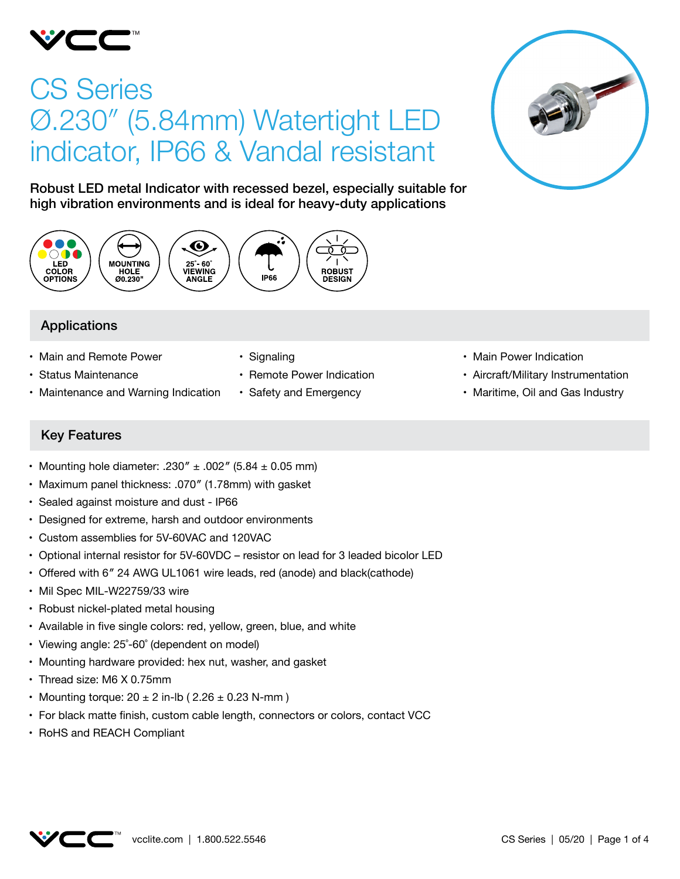

# CS Series Ø.230″ (5.84mm) Watertight LED indicator, IP66 & Vandal resistant



Robust LED metal Indicator with recessed bezel, especially suitable for high vibration environments and is ideal for heavy-duty applications



# Applications

- Main and Remote Power
- • Status Maintenance
- Maintenance and Warning Indication
- Signaling
- Remote Power Indication
- • Safety and Emergency
- Main Power Indication
- • Aircraft/Military Instrumentation
- Maritime, Oil and Gas Industry

# Key Features

- Mounting hole diameter: .230"  $\pm$  .002" (5.84  $\pm$  0.05 mm)
- Maximum panel thickness: .070" (1.78mm) with gasket
- • Sealed against moisture and dust IP66
- Designed for extreme, harsh and outdoor environments
- • Custom assemblies for 5V-60VAC and 120VAC
- Optional internal resistor for 5V-60VDC resistor on lead for 3 leaded bicolor LED
- Offered with 6" 24 AWG UL1061 wire leads, red (anode) and black(cathode)
- Mil Spec MIL-W22759/33 wire
- Robust nickel-plated metal housing
- Available in five single colors: red, yellow, green, blue, and white
- Viewing angle: 25°-60° (dependent on model)
- Mounting hardware provided: hex nut, washer, and gasket
- Thread size: M6 X 0.75mm
- Mounting torque:  $20 \pm 2$  in-lb (  $2.26 \pm 0.23$  N-mm )
- • For black matte finish, custom cable length, connectors or colors, contact VCC
- • RoHS and REACH Compliant

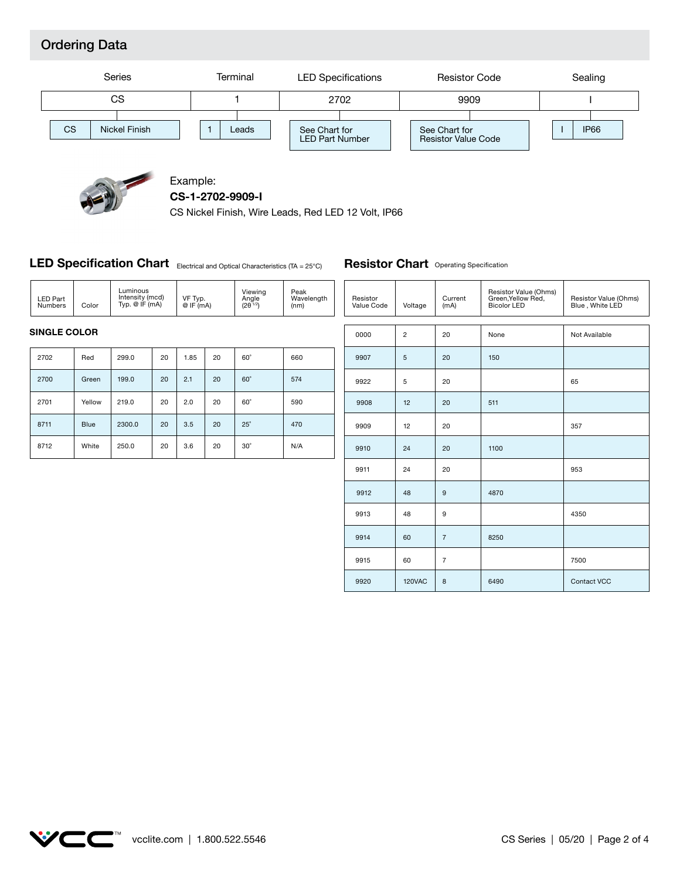# Ordering Data





#### Example: **CS-1-2702-9909-I**

CS Nickel Finish, Wire Leads, Red LED 12 Volt, IP66

#### **LED Specification Chart** Electrical and Optical Characteristics (TA = 25°C)

| <b>LED Part</b><br>Numbers | Color | Luminous<br>Intensity (mcd)<br>Typ. $@$ IF $(mA)$ | VF Typ.<br>@IF(mA) | Viewing<br>Angle<br>$(2\theta^{1/2})$ | Peak<br>Wavelength<br>(nm) |
|----------------------------|-------|---------------------------------------------------|--------------------|---------------------------------------|----------------------------|

#### **Resistor Chart** Operating Specification

| Resistor<br>Value Code | Voltage        | Current<br>(mA) | Resistor Value (Ohms)<br>Green, Yellow Red,<br><b>Bicolor LED</b> | Resistor Value (Ohms)<br>Blue, White LED |
|------------------------|----------------|-----------------|-------------------------------------------------------------------|------------------------------------------|
| 0000                   | $\overline{c}$ | 20              | None                                                              | Not Available                            |
| 9907                   | 5              | 20              | 150                                                               |                                          |
| 9922                   | 5              | 20              |                                                                   | 65                                       |
| 9908                   | 12             | 20              | 511                                                               |                                          |
| 9909                   | 12             | 20              |                                                                   | 357                                      |
| 9910                   | 24             | 20              | 1100                                                              |                                          |
| 9911                   | 24             | 20              |                                                                   | 953                                      |
| 9912                   | 48             | 9               | 4870                                                              |                                          |
| 9913                   | 48             | $\overline{9}$  |                                                                   | 4350                                     |
| 9914                   | 60             | $\overline{7}$  | 8250                                                              |                                          |
| 9915                   | 60             | $\overline{7}$  |                                                                   | 7500                                     |
| 9920                   | 120VAC         | 8               | 6490                                                              | Contact VCC                              |

#### **SINGLE COLOR**

| 2702 | Red         | 299.0  | 20 | 1.85 | 20 | $60^\circ$ | 660 |
|------|-------------|--------|----|------|----|------------|-----|
| 2700 | Green       | 199.0  | 20 | 2.1  | 20 | $60^\circ$ | 574 |
| 2701 | Yellow      | 219.0  | 20 | 2.0  | 20 | $60^\circ$ | 590 |
| 8711 | <b>Blue</b> | 2300.0 | 20 | 3.5  | 20 | $25^\circ$ | 470 |
| 8712 | White       | 250.0  | 20 | 3.6  | 20 | $30^\circ$ | N/A |

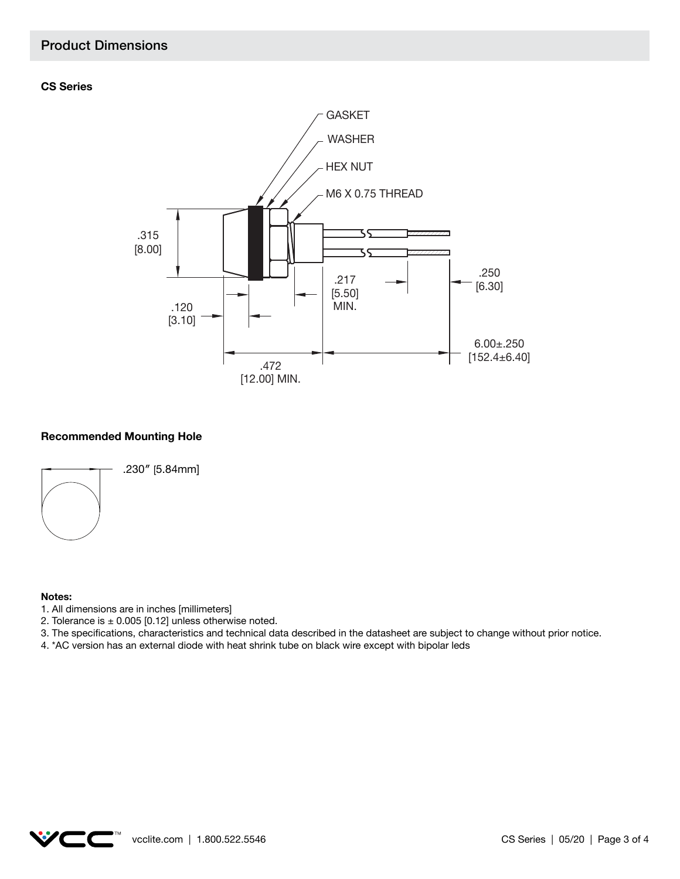## Product Dimensions

#### **CS Series**



#### **Recommended Mounting Hole**



#### **Notes:**

- 1. All dimensions are in inches [millimeters]
- 2. Tolerance is  $\pm$  0.005 [0.12] unless otherwise noted.
- 3. The specifications, characteristics and technical data described in the datasheet are subject to change without prior notice.
- 4. \*AC version has an external diode with heat shrink tube on black wire except with bipolar leds